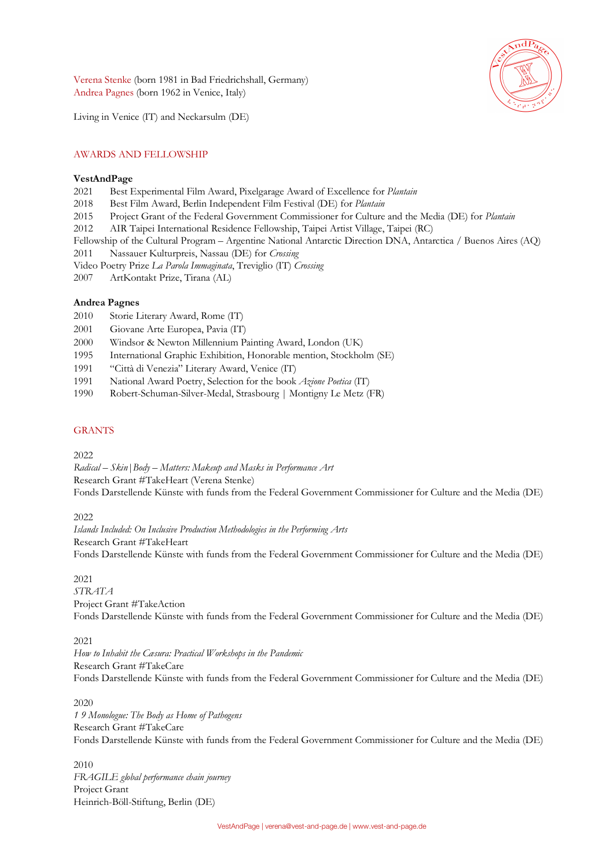Verena Stenke (born 1981 in Bad Friedrichshall, Germany) Andrea Pagnes (born 1962 in Venice, Italy)



Living in Venice (IT) and Neckarsulm (DE)

## AWARDS AND FELLOWSHIP

## **VestAndPage**

- 2021 Best Experimental Film Award, Pixelgarage Award of Excellence for *Plantain*
- 2018 Best Film Award, Berlin Independent Film Festival (DE) for *Plantain*
- 2015 Project Grant of the Federal Government Commissioner for Culture and the Media (DE) for *Plantain*
- 2012 AIR Taipei International Residence Fellowship, Taipei Artist Village, Taipei (RC)
- Fellowship of the Cultural Program Argentine National Antarctic Direction DNA, Antarctica / Buenos Aires (AQ)
- 2011 Nassauer Kulturpreis, Nassau (DE) for *Crossing*
- Video Poetry Prize *La Parola Immaginata*, Treviglio (IT) *Crossing*
- 2007 ArtKontakt Prize, Tirana (AL)

## **Andrea Pagnes**

- 2010 Storie Literary Award, Rome (IT)
- 2001 Giovane Arte Europea, Pavia (IT)
- 2000 Windsor & Newton Millennium Painting Award, London (UK)
- 1995 International Graphic Exhibition, Honorable mention, Stockholm (SE)
- 1991 "Città di Venezia" Literary Award, Venice (IT)
- 1991 National Award Poetry, Selection for the book *Azione Poetica* (IT)
- 1990 Robert-Schuman-Silver-Medal, Strasbourg | Montigny Le Metz (FR)

## **GRANTS**

#### 2022

*Radical – Skin|Body – Matters: Makeup and Masks in Performance Art* Research Grant #TakeHeart (Verena Stenke) Fonds Darstellende Künste with funds from the Federal Government Commissioner for Culture and the Media (DE)

#### 2022

*Islands Included: On Inclusive Production Methodologies in the Performing Arts* Research Grant #TakeHeart Fonds Darstellende Künste with funds from the Federal Government Commissioner for Culture and the Media (DE)

#### 2021

*STRATA* Project Grant #TakeAction Fonds Darstellende Künste with funds from the Federal Government Commissioner for Culture and the Media (DE)

## 2021

*How to Inhabit the Cæsura: Practical Workshops in the Pandemic* Research Grant #TakeCare Fonds Darstellende Künste with funds from the Federal Government Commissioner for Culture and the Media (DE)

## 2020

*1 9 Monologue: The Body as Home of Pathogens* Research Grant #TakeCare Fonds Darstellende Künste with funds from the Federal Government Commissioner for Culture and the Media (DE)

2010 *FRAGILE global performance chain journey* Project Grant Heinrich-Böll-Stiftung, Berlin (DE)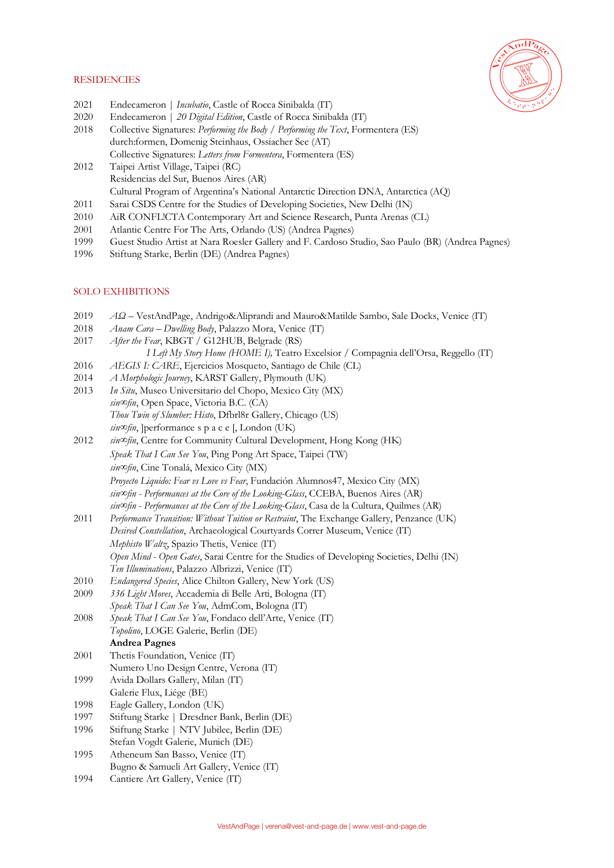## **RESIDENCIES**

- 2021 Endecameron | *Incubatio*, Castle of Rocca Sinibalda (IT)
- 2020 Endecameron | *20 Digital Edition*, Castle of Rocca Sinibalda (IT)
- 2018 Collective Signatures: *Performing the Body / Performing the Text*, Formentera (ES) durch:formen, Domenig Steinhaus, Ossiacher See (AT) Collective Signatures: *Letters from Formentera*, Formentera (ES)
- 2012 Taipei Artist Village, Taipei (RC) Residencias del Sur, Buenos Aires (AR) Cultural Program of Argentina's National Antarctic Direction DNA, Antarctica (AQ)
- 2011 Sarai CSDS Centre for the Studies of Developing Societies, New Delhi (IN)
- 2010 AiR CONFL!CTA Contemporary Art and Science Research, Punta Arenas (CL)
- 2001 Atlantic Centre For The Arts, Orlando (US) (Andrea Pagnes)
- 1999 Guest Studio Artist at Nara Roesler Gallery and F. Cardoso Studio, Sao Paulo (BR) (Andrea Pagnes)
- 1996 Stiftung Starke, Berlin (DE) (Andrea Pagnes)

# SOLO EXHIBITIONS

- 2019 *ΑΩ* VestAndPage, Andrigo&Aliprandi and Mauro&Matilde Sambo, Sale Docks, Venice (IT)
- 2018 *Anam Cara – Dwelling Body*, Palazzo Mora, Venice (IT)
- 2017 *After the Fear*, KBGT / G12HUB, Belgrade (RS)
	- *I Left My Story Home (HOME I),* Teatro Excelsior / Compagnia dell'Orsa, Reggello (IT)
- 2016 *AEGIS I: CARE*, Ejercicios Mosqueto, Santiago de Chile (CL)
- 2014 *A Morphologic Journey*, KARST Gallery, Plymouth (UK)
- 2013 *In Situ*, Museo Universitario del Chopo, Mexico City (MX) *sin∞fin*, Open Space, Victoria B.C. (CA) *Thou Twin of Slumber: Histo*, Dfbrl8r Gallery, Chicago (US) *sin∞fin*, ]performance s p a c e [, London (UK)
- 2012 *sin∞fin*, Centre for Community Cultural Development, Hong Kong (HK) *Speak That I Can See You*, Ping Pong Art Space, Taipei (TW) *sin∞fin*, Cine Tonalá, Mexico City (MX) *Proyecto Liquido: Fear vs Love vs Fear*, Fundación Alumnos47, Mexico City (MX) *sin∞fin - Performances at the Core of the Looking-Glass*, CCEBA, Buenos Aires (AR)
	- *sin∞fin - Performances at the Core of the Looking-Glass*, Casa de la Cultura, Quilmes (AR)
- 2011 *Performance Transition: Without Tuition or Restraint*, The Exchange Gallery, Penzance (UK) *Desired Constellation*, Archaeological Courtyards Correr Museum, Venice (IT) *Mephisto Waltz*, Spazio Thetis, Venice (IT) *Open Mind - Open Gates*, Sarai Centre for the Studies of Developing Societies, Delhi (IN) *Ten Illuminations*, Palazzo Albrizzi, Venice (IT)
- 2010 *Endangered Species*, Alice Chilton Gallery, New York (US)
- 2009 *336 Light Moves*, Accademia di Belle Arti, Bologna (IT)
- *Speak That I Can See You*, AdmCom, Bologna (IT)
- 2008 *Speak That I Can See You*, Fondaco dell'Arte, Venice (IT) *Topolino*, LOGE Galerie, Berlin (DE)
	- **Andrea Pagnes**
- 2001 Thetis Foundation, Venice (IT)
- Numero Uno Design Centre, Verona (IT)
- 1999 Avida Dollars Gallery, Milan (IT)
- Galerie Flux, Liége (BE)
- 1998 Eagle Gallery, London (UK)
- 1997 Stiftung Starke | Dresdner Bank, Berlin (DE)
- 1996 Stiftung Starke | NTV Jubilee, Berlin (DE) Stefan Vogdt Galerie, Munich (DE)
- 1995 Atheneum San Basso, Venice (IT)
- Bugno & Samueli Art Gallery, Venice (IT)
- 1994 Cantiere Art Gallery, Venice (IT)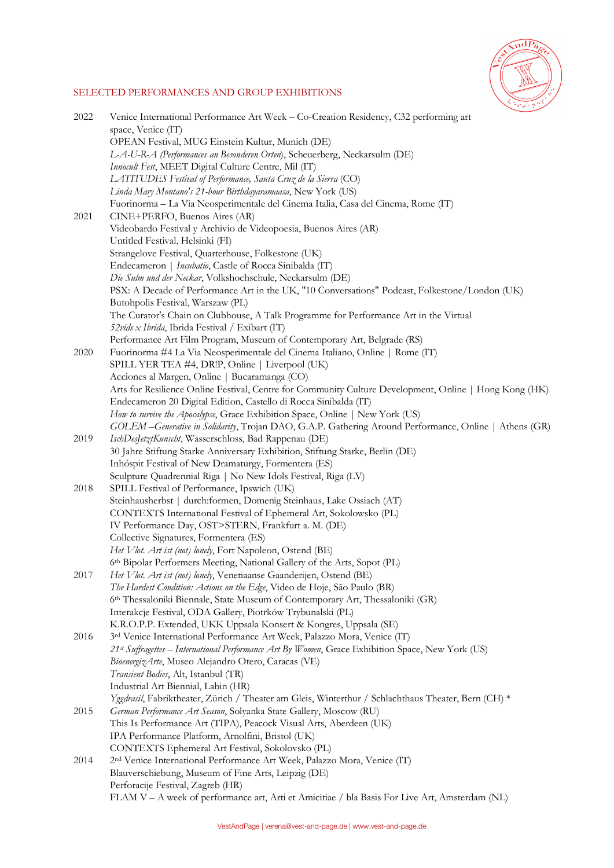

# SELECTED PERFORMANCES AND GROUP EXHIBITIONS

| 2022 | Venice International Performance Art Week - Co-Creation Residency, C32 performing art                                                     |
|------|-------------------------------------------------------------------------------------------------------------------------------------------|
|      | space, Venice (IT)                                                                                                                        |
|      | OPEAN Festival, MUG Einstein Kultur, Munich (DE)                                                                                          |
|      | L-A-U-R-A (Performances an Besonderen Orten), Scheuerberg, Neckarsulm (DE)                                                                |
|      | Innocult Fest, MEET Digital Culture Centre, Mil (IT)                                                                                      |
|      | LATITUDES Festival of Performance, Santa Cruz de la Sierra (CO)                                                                           |
|      | Linda Mary Montano's 21-hour Birthdayaramaasa, New York (US)                                                                              |
|      | Fuorinorma - La Via Neosperimentale del Cinema Italia, Casa del Cinema, Rome (IT)                                                         |
| 2021 | CINE+PERFO, Buenos Aires (AR)                                                                                                             |
|      | Videobardo Festival y Archivio de Videopoesia, Buenos Aires (AR)                                                                          |
|      | Untitled Festival, Helsinki (FI)                                                                                                          |
|      | Strangelove Festival, Quarterhouse, Folkestone (UK)                                                                                       |
|      | Endecameron   Incubatio, Castle of Rocca Sinibalda (IT)                                                                                   |
|      | Die Sulm und der Neckar, Volkshochschule, Neckarsulm (DE)                                                                                 |
|      | PSX: A Decade of Performance Art in the UK, "10 Conversations" Podcast, Folkestone/London (UK)                                            |
|      | Butohpolis Festival, Warszaw (PL)                                                                                                         |
|      | The Curator's Chain on Clubhouse, A Talk Programme for Performance Art in the Virtual                                                     |
|      | 52vids x Ibrida, Ibrida Festival / Exibart (IT)                                                                                           |
|      | Performance Art Film Program, Museum of Contemporary Art, Belgrade (RS)                                                                   |
| 2020 | Fuorinorma #4 La Via Neosperimentale del Cinema Italiano, Online   Rome (IT)                                                              |
|      | SPILL YER TEA #4, DR!P, Online   Liverpool (UK)                                                                                           |
|      | Acciones al Margen, Online   Bucaramanga (CO)                                                                                             |
|      | Arts for Resilience Online Festival, Centre for Community Culture Development, Online   Hong Kong (HK)                                    |
|      | Endecameron 20 Digital Edition, Castello di Rocca Sinibalda (IT)                                                                          |
|      | How to survive the Apocalypse, Grace Exhibition Space, Online   New York (US)                                                             |
|      | GOLEM-Generative in Solidarity, Trojan DAO, G.A.P. Gathering Around Performance, Online   Athens (GR)                                     |
| 2019 | IschDesJetztKunscht, Wasserschloss, Bad Rappenau (DE)                                                                                     |
|      | 30 Jahre Stiftung Starke Anniversary Exhibition, Stiftung Starke, Berlin (DE)                                                             |
|      | Inhóspit Festival of New Dramaturgy, Formentera (ES)                                                                                      |
|      | Sculpture Quadrennial Riga   No New Idols Festival, Riga (LV)                                                                             |
| 2018 | SPILL Festival of Performance, Ipswich (UK)                                                                                               |
|      | Steinhausherbst   durch:formen, Domenig Steinhaus, Lake Ossiach (AT)<br>CONTEXTS International Festival of Ephemeral Art, Sokolowsko (PL) |
|      | IV Performance Day, OST>STERN, Frankfurt a. M. (DE)                                                                                       |
|      | Collective Signatures, Formentera (ES)                                                                                                    |
|      | Het Vlot. Art ist (not) lonely, Fort Napoleon, Ostend (BE)                                                                                |
|      | 6th Bipolar Performers Meeting, National Gallery of the Arts, Sopot (PL)                                                                  |
| 2017 | Het Vlot. Art ist (not) lonely, Venetiaanse Gaanderijen, Ostend (BE)                                                                      |
|      | The Hardest Condition: Actions on the Edge, Video de Hoje, São Paulo (BR)                                                                 |
|      | 6th Thessaloniki Biennale, State Museum of Contemporary Art, Thessaloniki (GR)                                                            |
|      | Interakcje Festival, ODA Gallery, Piotrków Trybunalski (PL)                                                                               |
|      | K.R.O.P.P. Extended, UKK Uppsala Konsert & Kongres, Uppsala (SE)                                                                          |
| 2016 | 3rd Venice International Performance Art Week, Palazzo Mora, Venice (IT)                                                                  |
|      | 21st Suffragettes - International Performance Art By Women, Grace Exhibition Space, New York (US)                                         |
|      | BioenergizArte, Museo Alejandro Otero, Caracas (VE)                                                                                       |
|      | Transient Bodies, Alt, Istanbul (TR)                                                                                                      |
|      | Industrial Art Biennial, Labin (HR)                                                                                                       |
|      | Yggdrasil, Fabriktheater, Zürich / Theater am Gleis, Winterthur / Schlachthaus Theater, Bern (CH) *                                       |
| 2015 | German Performance Art Season, Solyanka State Gallery, Moscow (RU)                                                                        |
|      | This Is Performance Art (TIPA), Peacock Visual Arts, Aberdeen (UK)                                                                        |
|      | IPA Performance Platform, Arnolfini, Bristol (UK)                                                                                         |
|      | CONTEXTS Ephemeral Art Festival, Sokolovsko (PL)                                                                                          |
| 2014 | 2 <sup>nd</sup> Venice International Performance Art Week, Palazzo Mora, Venice (IT)                                                      |
|      | Blauverschiebung, Museum of Fine Arts, Leipzig (DE)                                                                                       |
|      | Perforacije Festival, Zagreb (HR)                                                                                                         |
|      | FLAM V - A week of performance art, Arti et Amicitiae / bla Basis For Live Art, Amsterdam (NL)                                            |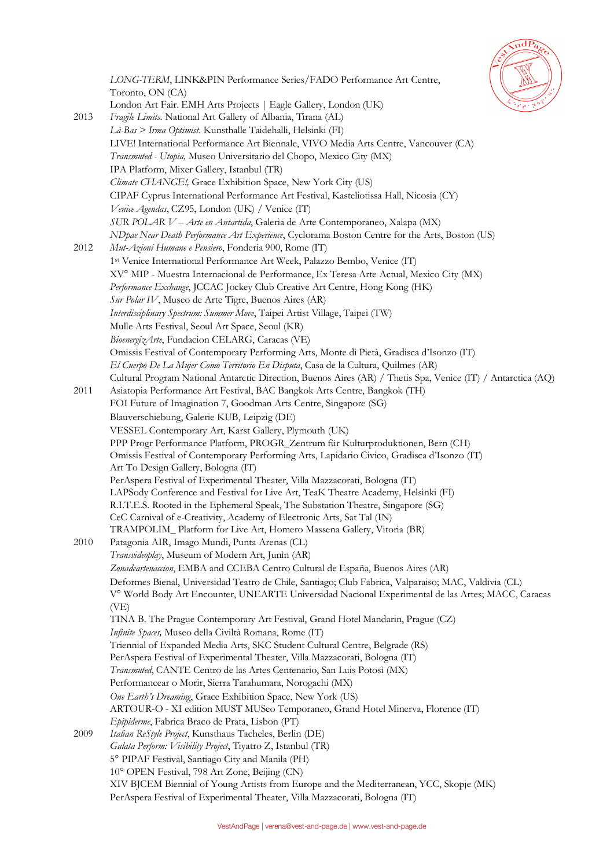

*LONG-TERM*, LINK&PIN Performance Series/FADO Performance Art Centre, Toronto, ON (CA) London Art Fair. EMH Arts Projects | Eagle Gallery, London (UK) 2013 *Fragile Limits*. National Art Gallery of Albania, Tirana (AL) *Là-Bas > Irma Optimist*. Kunsthalle Taidehalli, Helsinki (FI) LIVE! International Performance Art Biennale, VIVO Media Arts Centre, Vancouver (CA) *Transmuted - Utopia,* Museo Universitario del Chopo, Mexico City (MX) IPA Platform, Mixer Gallery, Istanbul (TR) *Climate CHANGE!,* Grace Exhibition Space, New York City (US) CIPAF Cyprus International Performance Art Festival, Kasteliotissa Hall, Nicosia (CY) *Venice Agendas*, CZ95, London (UK) / Venice (IT) *SUR POLAR V – Arte en Antartida*, Galeria de Arte Contemporaneo, Xalapa (MX) *NDpae Near Death Performance Art Experience*, Cyclorama Boston Centre for the Arts, Boston (US) 2012 *Mut-Azioni Humane e Pensiero*, Fonderia 900, Rome (IT) 1st Venice International Performance Art Week, Palazzo Bembo, Venice (IT) XV° MIP - Muestra Internacional de Performance, Ex Teresa Arte Actual, Mexico City (MX) *Performance Exchange*, JCCAC Jockey Club Creative Art Centre, Hong Kong (HK) *Sur Polar IV*, Museo de Arte Tigre, Buenos Aires (AR) *Interdisciplinary Spectrum: Summer Move*, Taipei Artist Village, Taipei (TW) Mulle Arts Festival, Seoul Art Space, Seoul (KR) *BioenergizArte*, Fundacion CELARG, Caracas (VE) Omissis Festival of Contemporary Performing Arts, Monte di Pietà, Gradisca d'Isonzo (IT) *El Cuerpo De La Mujer Como Territorio En Disputa*, Casa de la Cultura, Quilmes (AR) Cultural Program National Antarctic Direction, Buenos Aires (AR) / Thetis Spa, Venice (IT) / Antarctica (AQ) 2011 Asiatopia Performance Art Festival, BAC Bangkok Arts Centre, Bangkok (TH) FOI Future of Imagination 7, Goodman Arts Centre, Singapore (SG) Blauverschiebung, Galerie KUB, Leipzig (DE) VESSEL Contemporary Art, Karst Gallery, Plymouth (UK) PPP Progr Performance Platform, PROGR\_Zentrum für Kulturproduktionen, Bern (CH) Omissis Festival of Contemporary Performing Arts, Lapidario Civico, Gradisca d'Isonzo (IT) Art To Design Gallery, Bologna (IT) PerAspera Festival of Experimental Theater, Villa Mazzacorati, Bologna (IT) LAPSody Conference and Festival for Live Art, TeaK Theatre Academy, Helsinki (FI) R.I.T.E.S. Rooted in the Ephemeral Speak, The Substation Theatre, Singapore (SG) CeC Carnival of e-Creativity, Academy of Electronic Arts, Sat Tal (IN) TRAMPOLIM\_ Platform for Live Art, Homero Massena Gallery, Vitoria (BR) 2010 Patagonia AIR, Imago Mundi, Punta Arenas (CL) *Transvideoplay*, Museum of Modern Art, Junìn (AR) *Zonadeartenaccion*, EMBA and CCEBA Centro Cultural de España, Buenos Aires (AR) Deformes Bienal, Universidad Teatro de Chile, Santiago; Club Fabrica, Valparaiso; MAC, Valdivia (CL) V° World Body Art Encounter, UNEARTE Universidad Nacional Experimental de las Artes; MACC, Caracas (VE) TINA B. The Prague Contemporary Art Festival, Grand Hotel Mandarin, Prague (CZ) *Infinite Spaces,* Museo della Civiltà Romana, Rome (IT) Triennial of Expanded Media Arts, SKC Student Cultural Centre, Belgrade (RS) PerAspera Festival of Experimental Theater, Villa Mazzacorati, Bologna (IT) *Transmuted*, CANTE Centro de las Artes Centenario, San Luis Potosì (MX) Performancear o Morir, Sierra Tarahumara, Norogachi (MX) *One Earth's Dreaming*, Grace Exhibition Space, New York (US) ARTOUR-O - XI edition MUST MUSeo Temporaneo, Grand Hotel Minerva, Florence (IT) *Epipiderme*, Fabrica Braco de Prata, Lisbon (PT) 2009 *Italian ReStyle Project*, Kunsthaus Tacheles, Berlin (DE) *Galata Perform: Visibility Project*, Tiyatro Z, Istanbul (TR) 5° PIPAF Festival, Santiago City and Manila (PH) 10° OPEN Festival, 798 Art Zone, Beijing (CN) XIV BJCEM Biennial of Young Artists from Europe and the Mediterranean, YCC, Skopje (MK) PerAspera Festival of Experimental Theater, Villa Mazzacorati, Bologna (IT)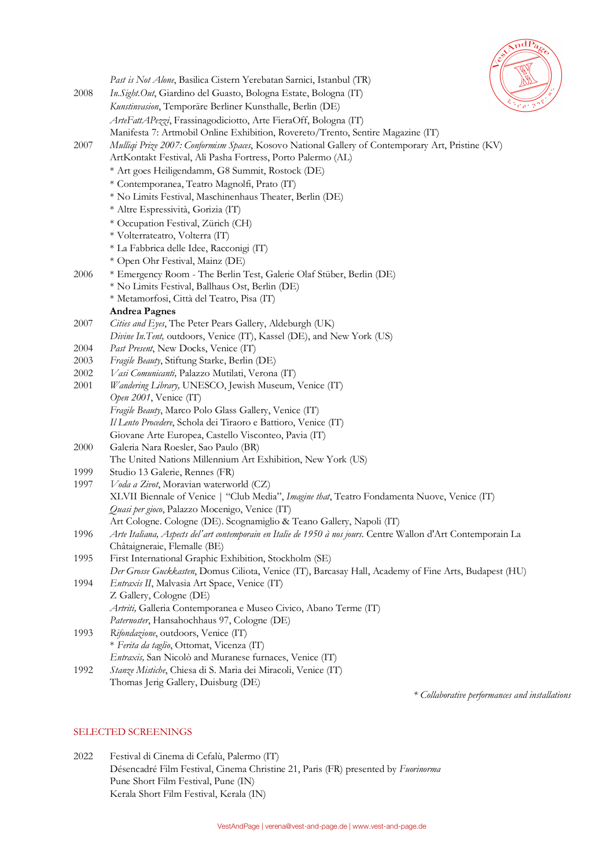

|      | Past is Not Alone, Basilica Cistern Yerebatan Sarnici, Istanbul (TR)                                           |
|------|----------------------------------------------------------------------------------------------------------------|
| 2008 | In. Sight. Out, Giardino del Guasto, Bologna Estate, Bologna (IT)                                              |
|      | Kunstinvasion, Temporäre Berliner Kunsthalle, Berlin (DE)                                                      |
|      | ArteFattAPezzi, Frassinagodiciotto, Arte FieraOff, Bologna (IT)                                                |
|      | Manifesta 7: Artmobil Online Exhibition, Rovereto/Trento, Sentire Magazine (IT)                                |
| 2007 | Mulliqi Prize 2007: Conformism Spaces, Kosovo National Gallery of Contemporary Art, Pristine (KV)              |
|      | ArtKontakt Festival, Ali Pasha Fortress, Porto Palermo (AL)                                                    |
|      | * Art goes Heiligendamm, G8 Summit, Rostock (DE)                                                               |
|      | * Contemporanea, Teatro Magnolfi, Prato (IT)                                                                   |
|      | * No Limits Festival, Maschinenhaus Theater, Berlin (DE)                                                       |
|      | * Altre Espressività, Gorizia (IT)                                                                             |
|      | * Occupation Festival, Zürich (CH)                                                                             |
|      | * Volterrateatro, Volterra (IT)                                                                                |
|      |                                                                                                                |
|      | * La Fabbrica delle Idee, Racconigi (IT)                                                                       |
|      | * Open Ohr Festival, Mainz (DE)                                                                                |
| 2006 | * Emergency Room - The Berlin Test, Galerie Olaf Stüber, Berlin (DE)                                           |
|      | * No Limits Festival, Ballhaus Ost, Berlin (DE)                                                                |
|      | * Metamorfosi, Città del Teatro, Pisa (IT)                                                                     |
|      | <b>Andrea Pagnes</b>                                                                                           |
| 2007 | Cities and Eyes, The Peter Pears Gallery, Aldeburgh (UK)                                                       |
|      | Divine In. Tent, outdoors, Venice (IT), Kassel (DE), and New York (US)                                         |
| 2004 | Past Present, New Docks, Venice (IT)                                                                           |
| 2003 | Fragile Beauty, Stiftung Starke, Berlin (DE)                                                                   |
| 2002 | Vasi Comunicanti, Palazzo Mutilati, Verona (IT)                                                                |
| 2001 | Wandering Library, UNESCO, Jewish Museum, Venice (IT)                                                          |
|      | Open 2001, Venice (IT)                                                                                         |
|      | Fragile Beauty, Marco Polo Glass Gallery, Venice (IT)                                                          |
|      | Il Lento Procedere, Schola dei Tiraoro e Battioro, Venice (IT)                                                 |
|      | Giovane Arte Europea, Castello Visconteo, Pavia (IT)<br>Galeria Nara Roesler, Sao Paulo (BR)                   |
| 2000 | The United Nations Millennium Art Exhibition, New York (US)                                                    |
| 1999 | Studio 13 Galerie, Rennes (FR)                                                                                 |
| 1997 | Voda a Zivot, Moravian waterworld (CZ)                                                                         |
|      | XLVII Biennale of Venice   "Club Media", Imagine that, Teatro Fondamenta Nuove, Venice (IT)                    |
|      | Quasi per gioco, Palazzo Mocenigo, Venice (IT)                                                                 |
|      | Art Cologne. Cologne (DE). Scognamiglio & Teano Gallery, Napoli (IT)                                           |
| 1996 | Arte Italiana, Aspects del'art contemporain en Italie de 1950 à nos jours. Centre Wallon d'Art Contemporain La |
|      | Châtaigneraie, Flemalle (BE)                                                                                   |
| 1995 | First International Graphic Exhibition, Stockholm (SE)                                                         |
|      | Der Grosse Guckkasten, Domus Ciliota, Venice (IT), Barcasay Hall, Academy of Fine Arts, Budapest (HU)          |
| 1994 | Entraxis II, Malvasia Art Space, Venice (IT)                                                                   |
|      | Z Gallery, Cologne (DE)                                                                                        |
|      | Artriti, Galleria Contemporanea e Museo Civico, Abano Terme (IT)                                               |
|      | Paternoster, Hansahochhaus 97, Cologne (DE)                                                                    |
| 1993 | Rifondazione, outdoors, Venice (IT)                                                                            |
|      | * Ferita da taglio, Ottomat, Vicenza (IT)                                                                      |
|      | Entraxis, San Nicolò and Muranese furnaces, Venice (IT)                                                        |
| 1992 | Stanze Mistiche, Chiesa di S. Maria dei Miracoli, Venice (IT)                                                  |
|      | Thomas Jerig Gallery, Duisburg (DE)                                                                            |

*\* Collaborative performances and installations*

## SELECTED SCREENINGS

2022 Festival di Cinema di Cefalù, Palermo (IT) Désencadré Film Festival, Cinema Christine 21, Paris (FR) presented by *Fuorinorma* Pune Short Film Festival, Pune (IN) Kerala Short Film Festival, Kerala (IN)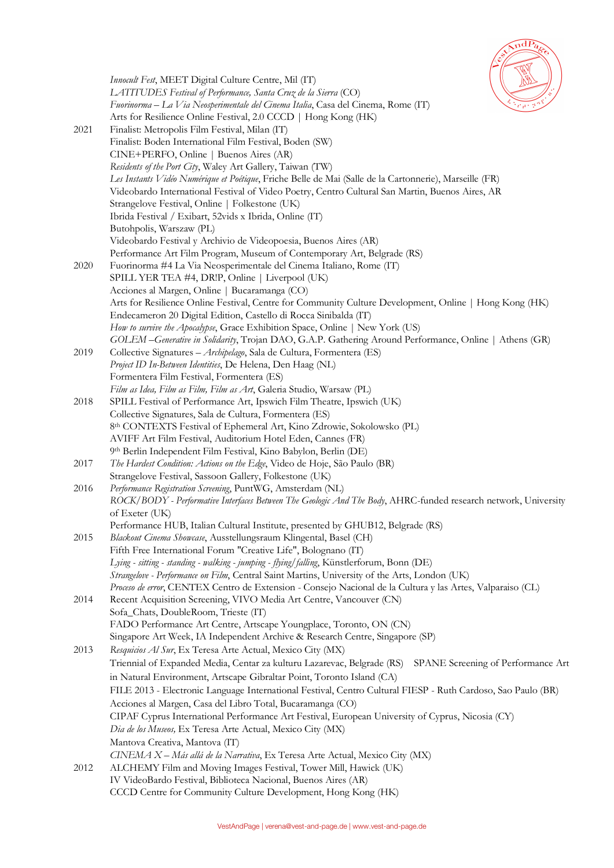

|      | 國<br>Innocult Fest, MEET Digital Culture Centre, Mil (IT)                                                                        |
|------|----------------------------------------------------------------------------------------------------------------------------------|
|      | LATITUDES Festival of Performance, Santa Cruz de la Sierra (CO)                                                                  |
|      | Fuorinorma - La Via Neosperimentale del Cinema Italia, Casa del Cinema, Rome (IT)                                                |
|      | Arts for Resilience Online Festival, 2.0 CCCD   Hong Kong (HK)                                                                   |
| 2021 | Finalist: Metropolis Film Festival, Milan (IT)                                                                                   |
|      | Finalist: Boden International Film Festival, Boden (SW)                                                                          |
|      | CINE+PERFO, Online   Buenos Aires (AR)                                                                                           |
|      | Residents of the Port City, Waley Art Gallery, Taiwan (TW)                                                                       |
|      | Les Instants Vidéo Numérique et Poétique, Friche Belle de Mai (Salle de la Cartonnerie), Marseille (FR)                          |
|      | Videobardo International Festival of Video Poetry, Centro Cultural San Martin, Buenos Aires, AR                                  |
|      | Strangelove Festival, Online   Folkestone (UK)                                                                                   |
|      | Ibrida Festival / Exibart, 52vids x Ibrida, Online (IT)                                                                          |
|      | Butohpolis, Warszaw (PL)                                                                                                         |
|      | Videobardo Festival y Archivio de Videopoesia, Buenos Aires (AR)                                                                 |
|      | Performance Art Film Program, Museum of Contemporary Art, Belgrade (RS)                                                          |
| 2020 | Fuorinorma #4 La Via Neosperimentale del Cinema Italiano, Rome (IT)                                                              |
|      | SPILL YER TEA #4, DR!P, Online   Liverpool (UK)                                                                                  |
|      | Acciones al Margen, Online   Bucaramanga (CO)                                                                                    |
|      | Arts for Resilience Online Festival, Centre for Community Culture Development, Online   Hong Kong (HK)                           |
|      | Endecameron 20 Digital Edition, Castello di Rocca Sinibalda (IT)                                                                 |
|      | How to survive the Apocalypse, Grace Exhibition Space, Online   New York (US)                                                    |
|      | GOLEM-Generative in Solidarity, Trojan DAO, G.A.P. Gathering Around Performance, Online   Athens (GR)                            |
| 2019 | Collective Signatures - Archipelago, Sala de Cultura, Formentera (ES)                                                            |
|      | Project ID In-Between Identities, De Helena, Den Haag (NL)                                                                       |
|      | Formentera Film Festival, Formentera (ES)                                                                                        |
|      | Film as Idea, Film as Film, Film as Art, Galeria Studio, Warsaw (PL)                                                             |
| 2018 | SPILL Festival of Performance Art, Ipswich Film Theatre, Ipswich (UK)<br>Collective Signatures, Sala de Cultura, Formentera (ES) |
|      | 8th CONTEXTS Festival of Ephemeral Art, Kino Zdrowie, Sokolowsko (PL)                                                            |
|      | AVIFF Art Film Festival, Auditorium Hotel Eden, Cannes (FR)                                                                      |
|      | 9th Berlin Independent Film Festival, Kino Babylon, Berlin (DE)                                                                  |
| 2017 | The Hardest Condition: Actions on the Edge, Video de Hoje, São Paulo (BR)                                                        |
|      | Strangelove Festival, Sassoon Gallery, Folkestone (UK)                                                                           |
| 2016 | Performance Registration Screening, PuntWG, Amsterdam (NL)                                                                       |
|      | ROCK/BODY - Performative Interfaces Between The Geologic And The Body, AHRC-funded research network, University                  |
|      | of Exeter (UK)                                                                                                                   |
|      | Performance HUB, Italian Cultural Institute, presented by GHUB12, Belgrade (RS)                                                  |
| 2015 | Blackout Cinema Showcase, Ausstellungsraum Klingental, Basel (CH)                                                                |
|      | Fifth Free International Forum "Creative Life", Bolognano (IT)                                                                   |
|      | Lying - sitting - standing - walking - jumping - flying/falling, Künstlerforum, Bonn (DE)                                        |
|      | Strangelove - Performance on Film, Central Saint Martins, University of the Arts, London (UK)                                    |
|      | Proceso de error, CENTEX Centro de Extension - Consejo Nacional de la Cultura y las Artes, Valparaiso (CL)                       |
| 2014 | Recent Acquisition Screening, VIVO Media Art Centre, Vancouver (CN)                                                              |
|      | Sofa_Chats, DoubleRoom, Trieste (IT)                                                                                             |
|      | FADO Performance Art Centre, Artscape Youngplace, Toronto, ON (CN)                                                               |
|      | Singapore Art Week, IA Independent Archive & Research Centre, Singapore (SP)                                                     |
| 2013 | Resquicios Al Sur, Ex Teresa Arte Actual, Mexico City (MX)                                                                       |
|      | Triennial of Expanded Media, Centar za kulturu Lazarevac, Belgrade (RS) SPANE Screening of Performance Art                       |
|      | in Natural Environment, Artscape Gibraltar Point, Toronto Island (CA)                                                            |
|      | FILE 2013 - Electronic Language International Festival, Centro Cultural FIESP - Ruth Cardoso, Sao Paulo (BR)                     |
|      | Acciones al Margen, Casa del Libro Total, Bucaramanga (CO)                                                                       |
|      | CIPAF Cyprus International Performance Art Festival, European University of Cyprus, Nicosia (CY)                                 |
|      | Dia de los Museos, Ex Teresa Arte Actual, Mexico City (MX)                                                                       |
|      | Mantova Creativa, Mantova (IT)                                                                                                   |
|      | CINEMA X - Más allá de la Narrativa, Ex Teresa Arte Actual, Mexico City (MX)                                                     |
| 2012 | ALCHEMY Film and Moving Images Festival, Tower Mill, Hawick (UK)                                                                 |
|      | IV VideoBardo Festival, Biblioteca Nacional, Buenos Aires (AR)                                                                   |
|      | CCCD Centre for Community Culture Development, Hong Kong (HK)                                                                    |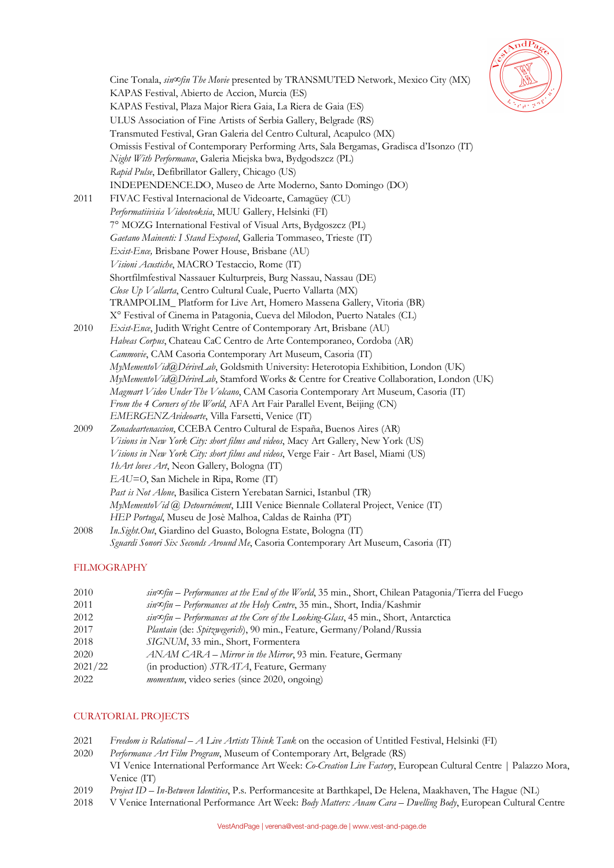

|      | Cine Tonala, $sin \infty$ fin The Movie presented by TRANSMUTED Network, Mexico City (MX)                                                      |
|------|------------------------------------------------------------------------------------------------------------------------------------------------|
|      | KAPAS Festival, Abierto de Accion, Murcia (ES)                                                                                                 |
|      | KAPAS Festival, Plaza Major Riera Gaia, La Riera de Gaia (ES)                                                                                  |
|      | ULUS Association of Fine Artists of Serbia Gallery, Belgrade (RS)                                                                              |
|      | Transmuted Festival, Gran Galeria del Centro Cultural, Acapulco (MX)                                                                           |
|      | Omissis Festival of Contemporary Performing Arts, Sala Bergamas, Gradisca d'Isonzo (IT)                                                        |
|      | Night With Performance, Galeria Miejska bwa, Bydgodszcz (PL)                                                                                   |
|      | Rapid Pulse, Defibrillator Gallery, Chicago (US)                                                                                               |
|      | INDEPENDENCE.DO, Museo de Arte Moderno, Santo Domingo (DO)                                                                                     |
| 2011 | FIVAC Festival Internacional de Videoarte, Camagüey (CU)                                                                                       |
|      | Performatiivisia Videoteoksia, MUU Gallery, Helsinki (FI)                                                                                      |
|      | 7º MOZG International Festival of Visual Arts, Bydgoszcz (PL)                                                                                  |
|      | Gaetano Mainenti: I Stand Exposed, Galleria Tommaseo, Trieste (IT)                                                                             |
|      | Exist-Ence, Brisbane Power House, Brisbane (AU)                                                                                                |
|      | Visioni Acustiche, MACRO Testaccio, Rome (IT)                                                                                                  |
|      | Shortfilmfestival Nassauer Kulturpreis, Burg Nassau, Nassau (DE)                                                                               |
|      | Close Up Vallarta, Centro Cultural Cuale, Puerto Vallarta (MX)                                                                                 |
|      | TRAMPOLIM_Platform for Live Art, Homero Massena Gallery, Vitoria (BR)                                                                          |
|      | X° Festival of Cinema in Patagonia, Cueva del Milodon, Puerto Natales (CL)                                                                     |
| 2010 | Exist-Ence, Judith Wright Centre of Contemporary Art, Brisbane (AU)                                                                            |
|      | Habeas Corpus, Chateau CaC Centro de Arte Contemporaneo, Cordoba (AR)                                                                          |
|      | Cammovie, CAM Casoria Contemporary Art Museum, Casoria (IT)                                                                                    |
|      | MyMementoVid@DériveLab, Goldsmith University: Heterotopia Exhibition, London (UK)                                                              |
|      | MyMementoVid@DériveLab, Stamford Works & Centre for Creative Collaboration, London (UK)                                                        |
|      | Magmart Video Under The Volcano, CAM Casoria Contemporary Art Museum, Casoria (IT)                                                             |
|      | From the 4 Corners of the World, AFA Art Fair Parallel Event, Beijing (CN)                                                                     |
|      | EMERGENZAvideoarte, Villa Farsetti, Venice (IT)                                                                                                |
| 2009 | Zonadeartenaccion, CCEBA Centro Cultural de España, Buenos Aires (AR)                                                                          |
|      | Visions in New York City: short films and videos, Macy Art Gallery, New York (US)                                                              |
|      | Visions in New York City: short films and videos, Verge Fair - Art Basel, Miami (US)                                                           |
|      | 1hArt loves Art, Neon Gallery, Bologna (IT)                                                                                                    |
|      | EAU=O, San Michele in Ripa, Rome (IT)                                                                                                          |
|      | Past is Not Alone, Basilica Cistern Yerebatan Sarnici, Istanbul (TR)                                                                           |
|      | MyMementoVid @ Detournément, LIII Venice Biennale Collateral Project, Venice (IT)<br>HEP Portugal, Museu de Josè Malhoa, Caldas de Rainha (PT) |
| 2008 | In. Sight. Out, Giardino del Guasto, Bologna Estate, Bologna (IT)                                                                              |
|      | Sguardi Sonori Six Seconds Around Me, Casoria Contemporary Art Museum, Casoria (IT)                                                            |
|      |                                                                                                                                                |

## FILMOGRAPHY

| 2010    | $sin \Phi$ = Performances at the End of the World, 35 min., Short, Chilean Patagonia/Tierra del Fuego |
|---------|-------------------------------------------------------------------------------------------------------|
| 2011    | $sin \infty$ fin – Performances at the Holy Centre, 35 min., Short, India/Kashmir                     |
| 2012    | $sin \infty$ fin – Performances at the Core of the Looking-Glass, 45 min., Short, Antarctica          |
| 2017    | Plantain (de: Spitzwegerich), 90 min., Feature, Germany/Poland/Russia                                 |
| 2018    | SIGNUM, 33 min., Short, Formentera                                                                    |
| 2020    | <i>ANAM CARA – Mirror in the Mirror</i> , 93 min. Feature, Germany                                    |
| 2021/22 | (in production) STRATA, Feature, Germany                                                              |
| 2022    | <i>momentum</i> , video series (since 2020, ongoing)                                                  |
|         |                                                                                                       |

# CURATORIAL PROJECTS

- 2021 *Freedom is Relational – A Live Artists Think Tank* on the occasion of Untitled Festival, Helsinki (FI)
- 2020 *Performance Art Film Program*, Museum of Contemporary Art, Belgrade (RS) VI Venice International Performance Art Week: *Co-Creation Live Factory*, European Cultural Centre | Palazzo Mora, Venice (IT)
- 2019 *Project ID – In-Between Identities*, P.s. Performancesite at Barthkapel, De Helena, Maakhaven, The Hague (NL)
- 2018 V Venice International Performance Art Week: *Body Matters: Anam Cara – Dwelling Body*, European Cultural Centre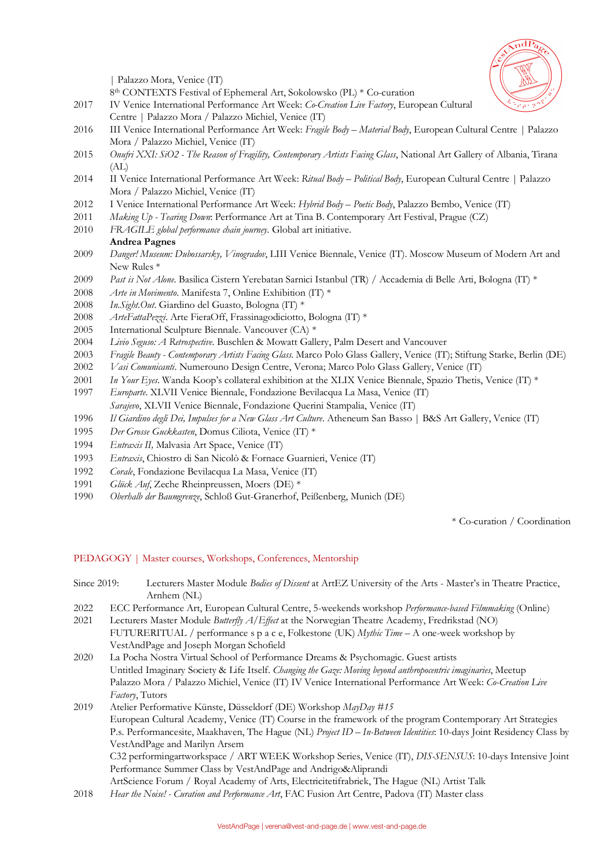

| Palazzo Mora, Venice (IT)

8th CONTEXTS Festival of Ephemeral Art, Sokolowsko (PL) \* Co-curation

- 2017 IV Venice International Performance Art Week: *Co-Creation Live Factory*, European Cultural Centre | Palazzo Mora / Palazzo Michiel, Venice (IT)
- 2016 III Venice International Performance Art Week: *Fragile Body – Material Body*, European Cultural Centre | Palazzo Mora / Palazzo Michiel, Venice (IT)
- 2015 *Onufri XXI: SiO2 - The Reason of Fragility, Contemporary Artists Facing Glass*, National Art Gallery of Albania, Tirana (AL)
- 2014 II Venice International Performance Art Week: *Ritual Body – Political Body*, European Cultural Centre | Palazzo Mora / Palazzo Michiel, Venice (IT)
- 2012 I Venice International Performance Art Week: *Hybrid Body – Poetic Body*, Palazzo Bembo, Venice (IT)
- 2011 *Making Up - Tearing Down*: Performance Art at Tina B. Contemporary Art Festival, Prague (CZ)
- 2010 *FRAGILE global performance chain journey*. Global art initiative.

## **Andrea Pagnes**

- 2009 *Danger! Museum: Dubossarsky, Vinogradov*, LIII Venice Biennale, Venice (IT). Moscow Museum of Modern Art and New Rules \*
- 2009 *Past is Not Alone*. Basilica Cistern Yerebatan Sarnici Istanbul (TR) / Accademia di Belle Arti, Bologna (IT) \*
- 2008 *Arte in Movimento*. Manifesta 7, Online Exhibition (IT) \*
- 2008 *In.Sight.Out*. Giardino del Guasto, Bologna (IT) \*
- 2008 *ArteFattaPezzi*. Arte FieraOff, Frassinagodiciotto, Bologna (IT) \*
- 2005 International Sculpture Biennale. Vancouver (CA) \*
- 2004 *Livio Seguso: A Retrospective*. Buschlen & Mowatt Gallery, Palm Desert and Vancouver
- 2003 *Fragile Beauty - Contemporary Artists Facing Glass*. Marco Polo Glass Gallery, Venice (IT); Stiftung Starke, Berlin (DE)
- 2002 *Vasi Comunicanti*. Numerouno Design Centre, Verona; Marco Polo Glass Gallery, Venice (IT)
- 2001 *In Your Eyes*. Wanda Koop's collateral exhibition at the XLIX Venice Biennale, Spazio Thetis, Venice (IT) \*
- 1997 *Europarte*. XLVII Venice Biennale, Fondazione Bevilacqua La Masa, Venice (IT) *Sarajevo*, XLVII Venice Biennale, Fondazione Querini Stampalia, Venice (IT)
- 1996 *Il Giardino degli Dei, Impulses for a New Glass Art Culture*. Atheneum San Basso | B&S Art Gallery, Venice (IT)
- 1995 *Der Grosse Guckkasten*, Domus Ciliota, Venice (IT) \*
- 1994 *Entraxis II,* Malvasia Art Space, Venice (IT)
- 1993 *Entraxis*, Chiostro di San Nicolò & Fornace Guarnieri, Venice (IT)
- 1992 *Corale*, Fondazione Bevilacqua La Masa, Venice (IT)
- 1991 *Glück Auf*, Zeche Rheinpreussen, Moers (DE) \*
- 1990 *Oberhalb der Baumgrenze*, Schloß Gut-Granerhof, Peißenberg, Munich (DE)

\* Co-curation / Coordination

## PEDAGOGY | Master courses, Workshops, Conferences, Mentorship

Since 2019: Lecturers Master Module *Bodies of Dissent* at ArtEZ University of the Arts - Master's in Theatre Practice, Arnhem (NL) 2022 ECC Performance Art, European Cultural Centre, 5-weekends workshop *Performance-based Filmmaking* (Online) 2021 Lecturers Master Module *Butterfly A/Effect* at the Norwegian Theatre Academy, Fredrikstad (NO) FUTURERITUAL / performance s p a c e, Folkestone (UK) *Mythic Time* – A one-week workshop by VestAndPage and Joseph Morgan Schofield 2020 La Pocha Nostra Virtual School of Performance Dreams & Psychomagic. Guest artists Untitled Imaginary Society & Life Itself. *Changing the Gaze: Moving beyond anthropocentric imaginaries*, Meetup Palazzo Mora / Palazzo Michiel, Venice (IT) IV Venice International Performance Art Week: *Co-Creation Live Factory*, Tutors 2019 Atelier Performative Künste, Düsseldorf (DE) Workshop *MayDay #15* European Cultural Academy, Venice (IT) Course in the framework of the program Contemporary Art Strategies

P.s. Performancesite, Maakhaven, The Hague (NL) *Project ID – In-Between Identities*: 10-days Joint Residency Class by VestAndPage and Marilyn Arsem

C32 performingartworkspace / ART WEEK Workshop Series, Venice (IT), *DIS-SENSUS*: 10-days Intensive Joint Performance Summer Class by VestAndPage and Andrigo&Aliprandi

ArtScience Forum / Royal Academy of Arts, Electricitetifrabriek, The Hague (NL) Artist Talk

2018 *Hear the Noise! - Curation and Performance Art*, FAC Fusion Art Centre, Padova (IT) Master class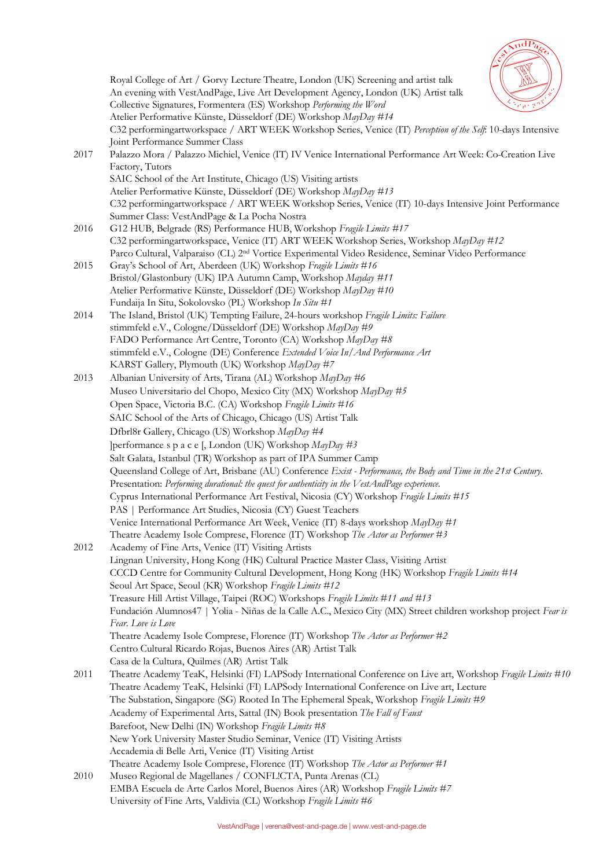

Royal College of Art / Gorvy Lecture Theatre, London (UK) Screening and artist talk An evening with VestAndPage, Live Art Development Agency, London (UK) Artist talk Collective Signatures, Formentera (ES) Workshop *Performing the Word* Atelier Performative Künste, Düsseldorf (DE) Workshop *MayDay #14* C32 performingartworkspace / ART WEEK Workshop Series, Venice (IT) *Perception of the Self*: 10-days Intensive Joint Performance Summer Class 2017 Palazzo Mora / Palazzo Michiel, Venice (IT) IV Venice International Performance Art Week: Co-Creation Live Factory, Tutors SAIC School of the Art Institute, Chicago (US) Visiting artists Atelier Performative Künste, Düsseldorf (DE) Workshop *MayDay #13* C32 performingartworkspace / ART WEEK Workshop Series, Venice (IT) 10-days Intensive Joint Performance Summer Class: VestAndPage & La Pocha Nostra 2016 G12 HUB, Belgrade (RS) Performance HUB, Workshop *Fragile Limits #17* C32 performingartworkspace, Venice (IT) ART WEEK Workshop Series, Workshop *MayDay #12* Parco Cultural, Valparaiso (CL) 2nd Vortice Experimental Video Residence, Seminar Video Performance 2015 Gray's School of Art, Aberdeen (UK) Workshop *Fragile Limits #16* Bristol/Glastonbury (UK) IPA Autumn Camp, Workshop *Mayday #11* Atelier Performative Künste, Düsseldorf (DE) Workshop *MayDay #10* Fundaija In Situ, Sokolovsko (PL) Workshop *In Situ #1* 2014 The Island, Bristol (UK) Tempting Failure, 24-hours workshop *Fragile Limits: Failure* stimmfeld e.V., Cologne/Düsseldorf (DE) Workshop *MayDay #9* FADO Performance Art Centre, Toronto (CA) Workshop *MayDay #8* stimmfeld e.V., Cologne (DE) Conference *Extended Voice In/And Performance Art* KARST Gallery, Plymouth (UK) Workshop *MayDay #7* 2013 Albanian University of Arts, Tirana (AL) Workshop *MayDay #6* Museo Universitario del Chopo, Mexico City (MX) Workshop *MayDay #5* Open Space, Victoria B.C. (CA) Workshop *Fragile Limits #16* SAIC School of the Arts of Chicago, Chicago (US) Artist Talk Dfbrl8r Gallery, Chicago (US) Workshop *MayDay #4* ]performance s p a c e [, London (UK) Workshop *MayDay #3* Salt Galata, Istanbul (TR) Workshop as part of IPA Summer Camp Queensland College of Art, Brisbane (AU) Conference *Exist - Performance, the Body and Time in the 21st Century*. Presentation: *Performing durational: the quest for authenticity in the VestAndPage experience*. Cyprus International Performance Art Festival, Nicosia (CY) Workshop *Fragile Limits #15* PAS | Performance Art Studies, Nicosia (CY) Guest Teachers Venice International Performance Art Week, Venice (IT) 8-days workshop *MayDay #1* Theatre Academy Isole Comprese, Florence (IT) Workshop *The Actor as Performer #3* 2012 Academy of Fine Arts, Venice (IT) Visiting Artists Lingnan University, Hong Kong (HK) Cultural Practice Master Class, Visiting Artist CCCD Centre for Community Cultural Development, Hong Kong (HK) Workshop *Fragile Limits #14* Seoul Art Space, Seoul (KR) Workshop *Fragile Limits #12* Treasure Hill Artist Village, Taipei (ROC) Workshops *Fragile Limits #11 and #13* Fundación Alumnos47 | Yolia - Niñas de la Calle A.C., Mexico City (MX) Street children workshop project *Fear is Fear. Love is Love* Theatre Academy Isole Comprese, Florence (IT) Workshop *The Actor as Performer #2* Centro Cultural Ricardo Rojas, Buenos Aires (AR) Artist Talk Casa de la Cultura, Quilmes (AR) Artist Talk 2011 Theatre Academy TeaK, Helsinki (FI) LAPSody International Conference on Live art, Workshop *Fragile Limits #10* Theatre Academy TeaK, Helsinki (FI) LAPSody International Conference on Live art, Lecture The Substation, Singapore (SG) Rooted In The Ephemeral Speak, Workshop *Fragile Limits #9* Academy of Experimental Arts, Sattal (IN) Book presentation *The Fall of Faust* Barefoot, New Delhi (IN) Workshop *Fragile Limits #8* New York University Master Studio Seminar, Venice (IT) Visiting Artists Accademia di Belle Arti, Venice (IT) Visiting Artist Theatre Academy Isole Comprese, Florence (IT) Workshop *The Actor as Performer #1* 2010 Museo Regional de Magellanes / CONFL!CTA, Punta Arenas (CL) EMBA Escuela de Arte Carlos Morel, Buenos Aires (AR) Workshop *Fragile Limits #7* University of Fine Arts, Valdivia (CL) Workshop *Fragile Limits #6*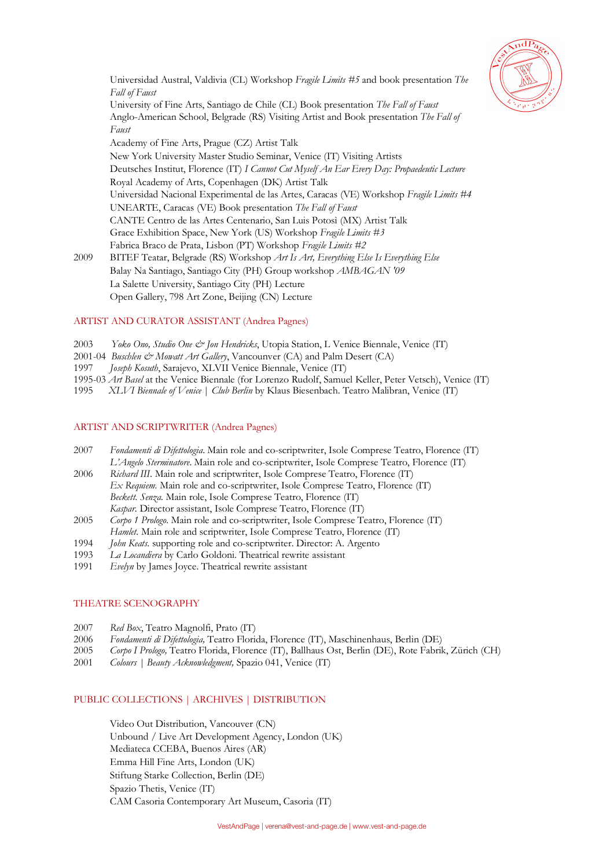

Universidad Austral, Valdivia (CL) Workshop *Fragile Limits #5* and book presentation *The Fall of Faust* University of Fine Arts, Santiago de Chile (CL) Book presentation *The Fall of Faust* Anglo-American School, Belgrade (RS) Visiting Artist and Book presentation *The Fall of Faust*  Academy of Fine Arts, Prague (CZ) Artist Talk New York University Master Studio Seminar, Venice (IT) Visiting Artists Deutsches Institut, Florence (IT) *I Cannot Cut Myself An Ear Every Day: Propaedeutic Lecture*  Royal Academy of Arts, Copenhagen (DK) Artist Talk Universidad Nacional Experimental de las Artes, Caracas (VE) Workshop *Fragile Limits #4* UNEARTE, Caracas (VE) Book presentation *The Fall of Faust* CANTE Centro de las Artes Centenario, San Luis Potosì (MX) Artist Talk Grace Exhibition Space, New York (US) Workshop *Fragile Limits #3* Fabrica Braco de Prata, Lisbon (PT) Workshop *Fragile Limits #2* 2009 BITEF Teatar, Belgrade (RS) Workshop *Art Is Art, Everything Else Is Everything Else* Balay Na Santiago, Santiago City (PH) Group workshop *AMBAGAN '09* La Salette University, Santiago City (PH) Lecture

## Open Gallery, 798 Art Zone, Beijing (CN) Lecture

## ARTIST AND CURATOR ASSISTANT (Andrea Pagnes)

- 2003 *Yoko Ono, Studio One & Jon Hendricks*, Utopia Station, L Venice Biennale, Venice (IT)
- 2001-04 *Buschlen & Mowatt Art Gallery*, Vancounver (CA) and Palm Desert (CA)
- 1997 *Joseph Kosuth*, Sarajevo, XLVII Venice Biennale, Venice (IT)
- 1995-03 *Art Basel* at the Venice Biennale (for Lorenzo Rudolf, Samuel Keller, Peter Vetsch), Venice (IT)
- 1995 *XLVI Biennale of Venice* | *Club Berlin* by Klaus Biesenbach. Teatro Malibran, Venice (IT)

## ARTIST AND SCRIPTWRITER (Andrea Pagnes)

- 2007 *Fondamenti di Difettologia*. Main role and co-scriptwriter, Isole Comprese Teatro, Florence (IT) *L'Angelo Sterminatore*. Main role and co-scriptwriter, Isole Comprese Teatro, Florence (IT)
- 2006 *Richard III*. Main role and scriptwriter, Isole Comprese Teatro, Florence (IT) *Ex Requiem.* Main role and co-scriptwriter, Isole Comprese Teatro, Florence (IT) *Beckett. Senza.* Main role, Isole Comprese Teatro, Florence (IT) *Kaspar.* Director assistant, Isole Comprese Teatro, Florence (IT)
- 2005 *Corpo 1 Prologo*. Main role and co-scriptwriter, Isole Comprese Teatro, Florence (IT)
- *Hamlet.* Main role and scriptwriter, Isole Comprese Teatro, Florence (IT)
- 1994 *John Keats*. supporting role and co-scriptwriter. Director: A. Argento
- 1993 *La Locandiera* by Carlo Goldoni. Theatrical rewrite assistant
- 1991 *Evelyn* by James Joyce. Theatrical rewrite assistant

## THEATRE SCENOGRAPHY

- 2007 *Red Box*, Teatro Magnolfi, Prato (IT)
- 2006 *Fondamenti di Difettologia,* Teatro Florida, Florence (IT), Maschinenhaus, Berlin (DE)
- 2005 *Corpo I Prologo,* Teatro Florida, Florence (IT), Ballhaus Ost, Berlin (DE), Rote Fabrik, Zürich (CH)
- 2001 *Colours | Beauty Acknowledgment,* Spazio 041, Venice (IT)

## PUBLIC COLLECTIONS | ARCHIVES | DISTRIBUTION

Video Out Distribution, Vancouver (CN) Unbound / Live Art Development Agency, London (UK) Mediateca CCEBA, Buenos Aires (AR) Emma Hill Fine Arts, London (UK) Stiftung Starke Collection, Berlin (DE) Spazio Thetis, Venice (IT) CAM Casoria Contemporary Art Museum, Casoria (IT)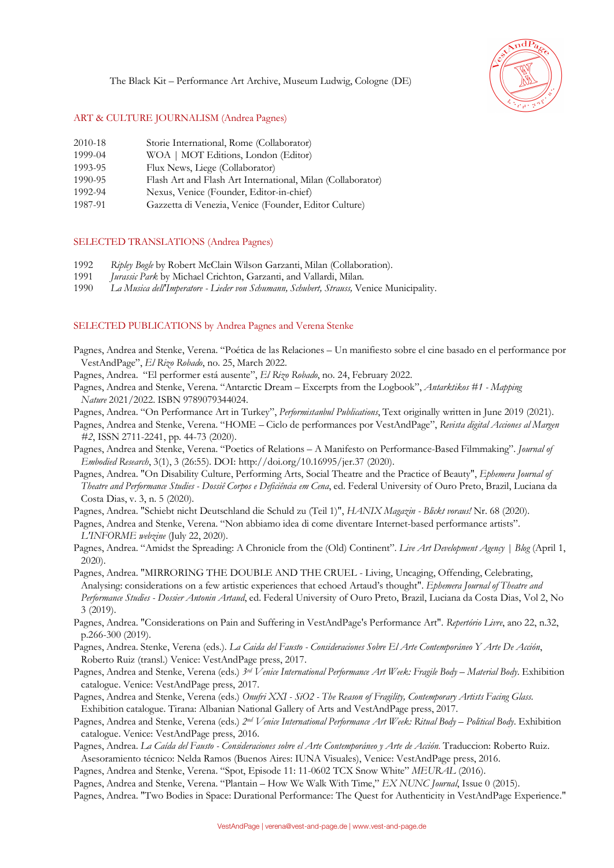The Black Kit – Performance Art Archive, Museum Ludwig, Cologne (DE)



## ART & CULTURE JOURNALISM (Andrea Pagnes)

- 2010-18 Storie International, Rome (Collaborator)
- 1999-04 WOA | MOT Editions, London (Editor)
- 1993-95 Flux News, Liege (Collaborator)
- 1990-95 Flash Art and Flash Art International, Milan (Collaborator)
- 1992-94 Nexus, Venice (Founder, Editor-in-chief)
- 1987-91 Gazzetta di Venezia, Venice (Founder, Editor Culture)

## SELECTED TRANSLATIONS (Andrea Pagnes)

- 1992 *Ripley Bogle* by Robert McClain Wilson Garzanti, Milan (Collaboration).
- 1991 *Jurassic Park* by Michael Crichton, Garzanti, and Vallardi, Milan.
- 1990 *La Musica dell'Imperatore - Lieder von Schumann, Schubert, Strauss,* Venice Municipality.

## SELECTED PUBLICATIONS by Andrea Pagnes and Verena Stenke

- Pagnes, Andrea and Stenke, Verena. "Poética de las Relaciones Un manifiesto sobre el cine basado en el performance por VestAndPage", *El Rizo Robado*, no. 25, March 2022.
- Pagnes, Andrea. "El performer está ausente", *El Rizo Robado*, no. 24, February 2022.
- Pagnes, Andrea and Stenke, Verena. "Antarctic Dream Excerpts from the Logbook", *Antarktikos #1 - Mapping Nature* 2021/2022. ISBN 9789079344024.
- Pagnes, Andrea. "On Performance Art in Turkey", *Performistanbul Publications*, Text originally written in June 2019 (2021).
- Pagnes, Andrea and Stenke, Verena. "HOME Ciclo de performances por VestAndPage", *Revista digital Acciones al Margen #2*, ISSN 2711-2241, pp. 44-73 (2020).
- Pagnes, Andrea and Stenke, Verena. "Poetics of Relations A Manifesto on Performance-Based Filmmaking". *Journal of Embodied Research*, 3(1), 3 (26:55). DOI: http://doi.org/10.16995/jer.37 (2020).
- Pagnes, Andrea. "On Disability Culture, Performing Arts, Social Theatre and the Practice of Beauty", *Ephemera Journal of Theatre and Performance Studies - Dossiê Corpos e Deficiência em Cena*, ed. Federal University of Ouro Preto, Brazil, Luciana da Costa Dias, v. 3, n. 5 (2020).

Pagnes, Andrea. "Schiebt nicht Deutschland die Schuld zu (Teil 1)", *HANIX Magazin - Blickt voraus!* Nr. 68 (2020).

Pagnes, Andrea and Stenke, Verena. "Non abbiamo idea di come diventare Internet-based performance artists". *L'INFORME webzine* (July 22, 2020).

- Pagnes, Andrea. "Amidst the Spreading: A Chronicle from the (Old) Continent". *Live Art Development Agency | Blog* (April 1, 2020).
- Pagnes, Andrea. "MIRRORING THE DOUBLE AND THE CRUEL Living, Uncaging, Offending, Celebrating, Analysing: considerations on a few artistic experiences that echoed Artaud's thought". *Ephemera Journal of Theatre and Performance Studies - Dossier Antonin Artaud*, ed. Federal University of Ouro Preto, Brazil, Luciana da Costa Dias, Vol 2, No 3 (2019).
- Pagnes, Andrea. "Considerations on Pain and Suffering in VestAndPage's Performance Art". *Repertório Livre*, ano 22, n.32, p.266-300 (2019).
- Pagnes, Andrea. Stenke, Verena (eds.). *La Caida del Fausto - Consideraciones Sobre El Arte Contemporáneo Y Arte De Acción*, Roberto Ruiz (transl.) Venice: VestAndPage press, 2017.
- Pagnes, Andrea and Stenke, Verena (eds.) *3rd Venice International Performance Art Week: Fragile Body – Material Body*. Exhibition catalogue. Venice: VestAndPage press, 2017.
- Pagnes, Andrea and Stenke, Verena (eds.) *Onufri XXI - SiO2 - The Reason of Fragility, Contemporary Artists Facing Glass*. Exhibition catalogue. Tirana: Albanian National Gallery of Arts and VestAndPage press, 2017.
- Pagnes, Andrea and Stenke, Verena (eds.) *2nd Venice International Performance Art Week: Ritual Body – Political Body*. Exhibition catalogue. Venice: VestAndPage press, 2016.
- Pagnes, Andrea. *La Caída del Fausto - Consideraciones sobre el Arte Contemporáneo y Arte de Acción*. Traduccion: Roberto Ruiz. Asesoramiento técnico: Nelda Ramos (Buenos Aires: IUNA Visuales), Venice: VestAndPage press, 2016.
- Pagnes, Andrea and Stenke, Verena. "Spot, Episode 11: 11-0602 TCX Snow White" *MEURAL* (2016).

Pagnes, Andrea and Stenke, Verena. "Plantain – How We Walk With Time," *EX NUNC Journal*, Issue 0 (2015).

Pagnes, Andrea. "Two Bodies in Space: Durational Performance: The Quest for Authenticity in VestAndPage Experience."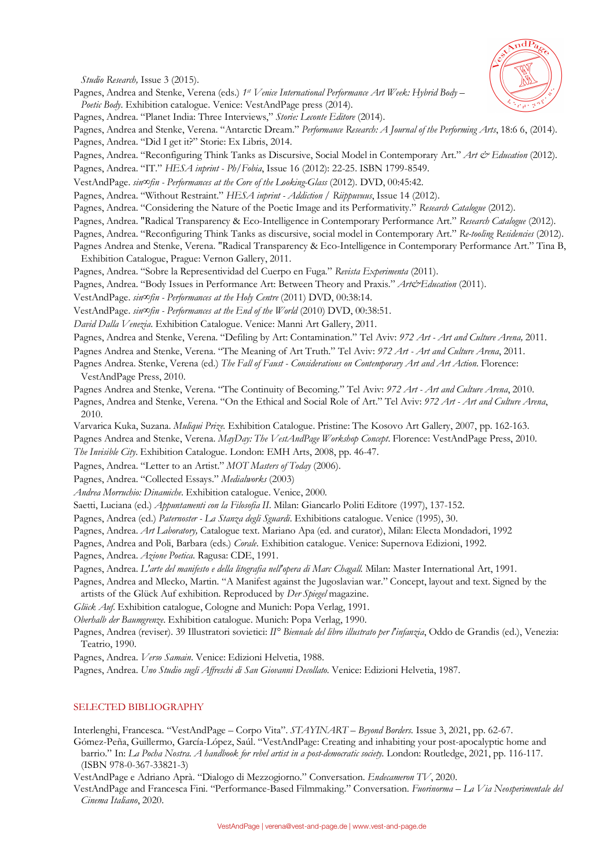

*Studio Research,* Issue 3 (2015).

- Pagnes, Andrea and Stenke, Verena (eds.) *1st Venice International Performance Art Week: Hybrid Body – Poetic Body*. Exhibition catalogue. Venice: VestAndPage press (2014).
- Pagnes, Andrea. "Planet India: Three Interviews," *Storie: Leconte Editore* (2014).

Pagnes, Andrea and Stenke, Verena. "Antarctic Dream." *Performance Research: A Journal of the Performing Arts*, 18:6 6, (2014). Pagnes, Andrea. "Did I get it?" Storie: Ex Libris, 2014.

Pagnes, Andrea. "Reconfiguring Think Tanks as Discursive, Social Model in Contemporary Art." *Art & Education* (2012).

Pagnes, Andrea. "IT." *HESA inprint - Ph/Fobia*, Issue 16 (2012): 22-25. ISBN 1799-8549.

VestAndPage. *sin∞fin - Performances at the Core of the Looking-Glass* (2012). DVD, 00:45:42.

Pagnes, Andrea. "Without Restraint." *HESA inprint - Addiction / Riippuvuus*, Issue 14 (2012).

Pagnes, Andrea. "Considering the Nature of the Poetic Image and its Performativity." *Research Catalogue* (2012).

- Pagnes, Andrea. "Radical Transparency & Eco-Intelligence in Contemporary Performance Art." *Research Catalogue* (2012).
- Pagnes, Andrea. "Reconfiguring Think Tanks as discursive, social model in Contemporary Art." *Re-tooling Residencies* (2012). Pagnes Andrea and Stenke, Verena. "Radical Transparency & Eco-Intelligence in Contemporary Performance Art." Tina B,

Exhibition Catalogue, Prague: Vernon Gallery, 2011.

Pagnes, Andrea. "Sobre la Representividad del Cuerpo en Fuga." *Revista Experimenta* (2011).

Pagnes, Andrea. "Body Issues in Performance Art: Between Theory and Praxis." Art&Education (2011).

VestAndPage. *sin∞fin - Performances at the Holy Centre* (2011) DVD, 00:38:14.

VestAndPage. *sin∞fin - Performances at the End of the World* (2010) DVD, 00:38:51.

*David Dalla Venezia*. Exhibition Catalogue. Venice: Manni Art Gallery, 2011.

Pagnes, Andrea and Stenke, Verena. "Defiling by Art: Contamination." Tel Aviv: *972 Art - Art and Culture Arena,* 2011.

Pagnes Andrea and Stenke, Verena. "The Meaning of Art Truth." Tel Aviv: *972 Art - Art and Culture Arena*, 2011.

Pagnes Andrea. Stenke, Verena (ed.) *The Fall of Faust - Considerations on Contemporary Art and Art Action*. Florence: VestAndPage Press, 2010.

Pagnes Andrea and Stenke, Verena. "The Continuity of Becoming." Tel Aviv: *972 Art - Art and Culture Arena*, 2010.

Pagnes, Andrea and Stenke, Verena. "On the Ethical and Social Role of Art." Tel Aviv: *972 Art - Art and Culture Arena*, 2010.

Varvarica Kuka, Suzana. *Muliqui Prize.* Exhibition Catalogue. Pristine: The Kosovo Art Gallery, 2007, pp. 162-163.

Pagnes Andrea and Stenke, Verena. *MayDay: The VestAndPage Workshop Concept*. Florence: VestAndPage Press, 2010.

*The Invisible City*. Exhibition Catalogue. London: EMH Arts, 2008, pp. 46-47.

Pagnes, Andrea. "Letter to an Artist." *MOT Masters of Today* (2006).

Pagnes, Andrea. "Collected Essays." *Medialworks* (2003)

*Andrea Morruchio: Dinamiche*. Exhibition catalogue. Venice, 2000.

Saetti, Luciana (ed.) *Appuntamenti con la Filosofia II*. Milan: Giancarlo Politi Editore (1997), 137-152.

Pagnes, Andrea (ed.) *Paternoster - La Stanza degli Sguardi*. Exhibitions catalogue. Venice (1995), 30.

Pagnes, Andrea. *Art Laboratory,* Catalogue text. Mariano Apa (ed. and curator), Milan: Electa Mondadori, 1992

Pagnes, Andrea and Poli, Barbara (eds.) *Corale*. Exhibition catalogue. Venice: Supernova Edizioni, 1992.

Pagnes, Andrea. *Azione Poetica*. Ragusa: CDE, 1991.

Pagnes, Andrea. *L'arte del manifesto e della litografia nell'opera di Marc Chagall.* Milan: Master International Art, 1991.

Pagnes, Andrea and Mlecko, Martin. "A Manifest against the Jugoslavian war." Concept, layout and text. Signed by the artists of the Glück Auf exhibition. Reproduced by *Der Spiegel* magazine.

*Glück Auf.* Exhibition catalogue, Cologne and Munich: Popa Verlag, 1991.

*Oberhalb der Baumgrenze*. Exhibition catalogue. Munich: Popa Verlag, 1990.

Pagnes, Andrea (reviser). 39 Illustratori sovietici: *II° Biennale del libro illustrato per l'infanzia*, Oddo de Grandis (ed.), Venezia: Teatrio, 1990.

Pagnes, Andrea. *Verso Samain*. Venice: Edizioni Helvetia, 1988.

Pagnes, Andrea. *Uno Studio sugli Affreschi di San Giovanni Decollato*. Venice: Edizioni Helvetia, 1987.

## SELECTED BIBLIOGRAPHY

Interlenghi, Francesca. "VestAndPage – Corpo Vita". *STAYINART – Beyond Borders.* Issue 3, 2021, pp. 62-67.

Gómez-Peña, Guillermo, García-López, Saúl. "VestAndPage: Creating and inhabiting your post-apocalyptic home and barrio." In: *La Pocha Nostra. A handbook for rebel artist in a post-democratic society.* London: Routledge, 2021, pp. 116-117. (ISBN 978-0-367-33821-3)

VestAndPage e Adriano Aprà. "Dialogo di Mezzogiorno." Conversation. *Endecameron TV*, 2020.

VestAndPage and Francesca Fini. "Performance-Based Filmmaking." Conversation. *Fuorinorma – La Via Neosperimentale del Cinema Italiano*, 2020.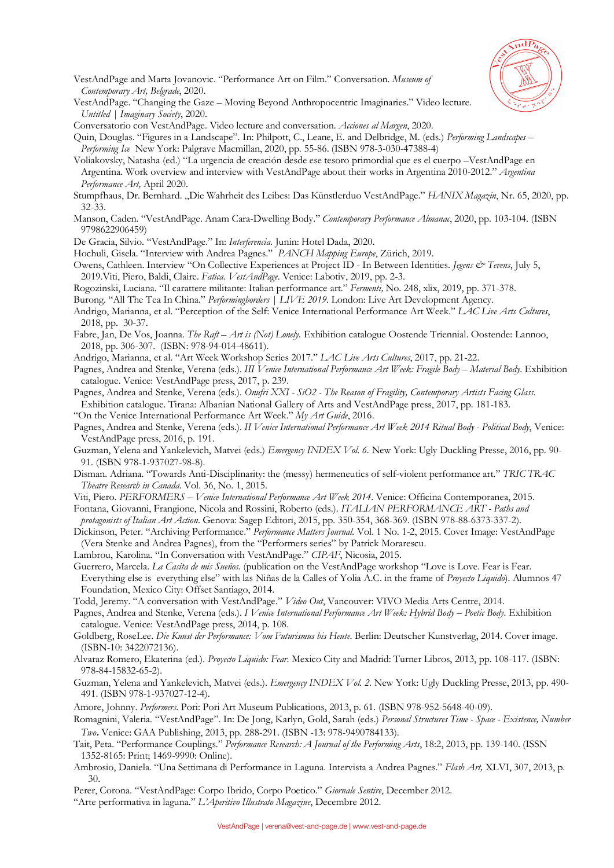

- VestAndPage and Marta Jovanovic. "Performance Art on Film." Conversation. *Museum of Contemporary Art, Belgrade*, 2020.
- VestAndPage. "Changing the Gaze Moving Beyond Anthropocentric Imaginaries." Video lecture. *Untitled | Imaginary Society*, 2020.
- Conversatorio con VestAndPage. Video lecture and conversation. *Acciones al Margen*, 2020.
- Quin, Douglas. "Figures in a Landscape". In: Philpott, C., Leane, E. and Delbridge, M. (eds.) *Performing Landscapes – Performing Ice* New York: Palgrave Macmillan, 2020, pp. 55-86. (ISBN 978-3-030-47388-4)
- Voliakovsky, Natasha (ed.) "La urgencia de creación desde ese tesoro primordial que es el cuerpo –VestAndPage en Argentina. Work overview and interview with VestAndPage about their works in Argentina 2010-2012." *Argentina Performance Art,* April 2020.
- Stumpfhaus, Dr. Bernhard. "Die Wahrheit des Leibes: Das Künstlerduo VestAndPage." *HANIX Magazin*, Nr. 65, 2020, pp. 32-33.
- Manson, Caden. "VestAndPage. Anam Cara-Dwelling Body." *Contemporary Performance Almanac*, 2020, pp. 103-104. (ISBN 9798622906459)
- De Gracia, Silvio. "VestAndPage." In: *Interferencia.* Junin: Hotel Dada, 2020.
- Hochuli, Gisela. "Interview with Andrea Pagnes." *PANCH Mapping Europe*, Zürich, 2019.
- Owens, Cathleen. Interview "On Collective Experiences at Project ID In Between Identities. *Jegens & Tevens*, July 5, 2019.Viti, Piero, Baldi, Claire. *Fatica. VestAndPage*. Venice: Labotiv, 2019, pp. 2-3.
- Rogozinski, Luciana. "Il carattere militante: Italian performance art." *Fermenti,* No. 248, xlix, 2019, pp. 371-378.
- Burong. "All The Tea In China." *Performingborders | LIVE 2019*. London: Live Art Development Agency.
- Andrigo, Marianna, et al. "Perception of the Self: Venice International Performance Art Week." *LAC Live Arts Cultures*, 2018, pp. 30-37.
- Fabre, Jan, De Vos, Joanna. *The Raft – Art is (Not) Lonely*. Exhibition catalogue Oostende Triennial. Oostende: Lannoo, 2018, pp. 306-307. (ISBN: 978-94-014-48611).
- Andrigo, Marianna, et al. "Art Week Workshop Series 2017." *LAC Live Arts Cultures*, 2017, pp. 21-22.
- Pagnes, Andrea and Stenke, Verena (eds.). *III Venice International Performance Art Week: Fragile Body – Material Body*. Exhibition catalogue. Venice: VestAndPage press, 2017, p. 239.
- Pagnes, Andrea and Stenke, Verena (eds.). *Onufri XXI - SiO2 - The Reason of Fragility, Contemporary Artists Facing Glass*. Exhibition catalogue. Tirana: Albanian National Gallery of Arts and VestAndPage press, 2017, pp. 181-183.
- "On the Venice International Performance Art Week." *My Art Guide*, 2016.
- Pagnes, Andrea and Stenke, Verena (eds.). *II Venice International Performance Art Week 2014 Ritual Body - Political Body*, Venice: VestAndPage press, 2016, p. 191.
- Guzman, Yelena and Yankelevich, Matvei (eds.) *Emergency INDEX Vol. 6.* New York: Ugly Duckling Presse, 2016, pp. 90- 91. (ISBN 978-1-937027-98-8).
- Disman. Adriana. "Towards Anti-Disciplinarity: the (messy) hermeneutics of self-violent performance art." *TRIC TRAC Theatre Research in Canada.* Vol. 36, No. 1, 2015.
- Viti, Piero. *PERFORMERS – Venice International Performance Art Week 2014*. Venice: Officina Contemporanea, 2015.

Fontana, Giovanni, Frangione, Nicola and Rossini, Roberto (eds.). *ITALIAN PERFORMANCE ART - Paths and protagonists of Italian Art Action*. Genova: Sagep Editori, 2015, pp. 350-354, 368-369. (ISBN 978-88-6373-337-2).

- Dickinson, Peter. "Archiving Performance." *Performance Matters Journal.* Vol. 1 No. 1-2, 2015. Cover Image: VestAndPage (Vera Stenke and Andrea Pagnes), from the "Performers series" by Patrick Morarescu.
- Lambrou, Karolina. "In Conversation with VestAndPage." *CIPAF*, Nicosia, 2015.
- Guerrero, Marcela. *La Casita de mis Sueños.* (publication on the VestAndPage workshop "Love is Love. Fear is Fear. Everything else is everything else" with las Niñas de la Calles of Yolia A.C. in the frame of *Proyecto Liquido*). Alumnos 47 Foundation, Mexico City: Offset Santiago, 2014.
- Todd, Jeremy. "A conversation with VestAndPage." *Video Out*, Vancouver: VIVO Media Arts Centre, 2014.
- Pagnes, Andrea and Stenke, Verena (eds.). *I Venice International Performance Art Week: Hybrid Body – Poetic Body*. Exhibition catalogue. Venice: VestAndPage press, 2014, p. 108.
- Goldberg, RoseLee. *Die Kunst der Performance: Vom Futurismus bis Heute*. Berlin: Deutscher Kunstverlag, 2014. Cover image. (ISBN-10: 3422072136).
- Alvaraz Romero, Ekaterina (ed.). *Proyecto Liquido: Fear*. Mexico City and Madrid: Turner Libros, 2013, pp. 108-117. (ISBN: 978-84-15832-65-2).
- Guzman, Yelena and Yankelevich, Matvei (eds.). *Emergency INDEX Vol. 2.* New York: Ugly Duckling Presse, 2013, pp. 490- 491. (ISBN 978-1-937027-12-4).

Amore, Johnny. *Performers.* Pori: Pori Art Museum Publications, 2013, p. 61. (ISBN 978-952-5648-40-09).

- Romagnini, Valeria. "VestAndPage". In: De Jong, Karlyn, Gold, Sarah (eds.) *Personal Structures Time - Space - Existence, Number Two***.** Venice: GAA Publishing, 2013, pp. 288-291. (ISBN -13: 978-9490784133).
- Tait, Peta. "Performance Couplings." *Performance Research: A Journal of the Performing Arts*, 18:2, 2013, pp. 139-140. (ISSN 1352-8165: Print; 1469-9990: Online).
- Ambrosio, Daniela. "Una Settimana di Performance in Laguna. Intervista a Andrea Pagnes." *Flash Art,* XLVI, 307, 2013, p. 30.

Perer, Corona. "VestAndPage: Corpo Ibrido, Corpo Poetico." *Giornale Sentire*, December 2012.

"Arte performativa in laguna." *L'Aperitivo Illustrato Magazine*, Decembre 2012.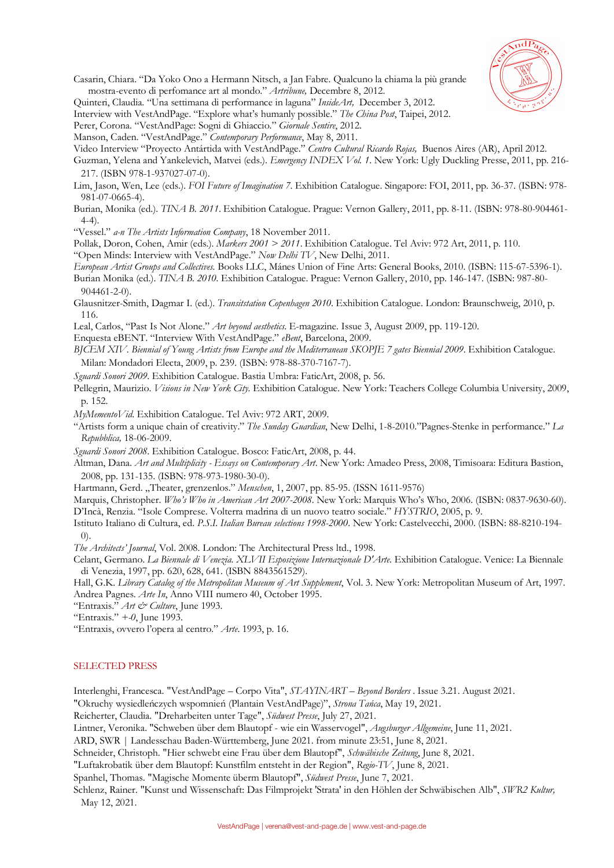

- Casarin, Chiara. "Da Yoko Ono a Hermann Nitsch, a Jan Fabre. Qualcuno la chiama la più grande mostra-evento di perfomance art al mondo." *Artribune,* Decembre 8, 2012.
- Quinteri, Claudia*.* "Una settimana di performance in laguna" *InsideArt,* December 3, 2012.
- Interview with VestAndPage. "Explore what's humanly possible." *The China Post*, Taipei, 2012.
- Perer, Corona. "VestAndPage: Sogni di Ghiaccio." *Giornale Sentire*, 2012.
- Manson, Caden. "VestAndPage." *Contemporary Performance*, May 8, 2011.
- Video Interview "Proyecto Antártida with VestAndPage." *Centro Cultural Ricardo Rojas,* Buenos Aires (AR), April 2012.
- Guzman, Yelena and Yankelevich, Matvei (eds.). *Emergency INDEX Vol. 1*. New York: Ugly Duckling Presse, 2011, pp. 216- 217. (ISBN 978-1-937027-07-0).
- Lim, Jason, Wen, Lee (eds.). *FOI Future of Imagination 7*. Exhibition Catalogue. Singapore: FOI, 2011, pp. 36-37. (ISBN: 978- 981-07-0665-4).
- Burian, Monika (ed.). *TINA B. 2011*. Exhibition Catalogue. Prague: Vernon Gallery, 2011, pp. 8-11. (ISBN: 978-80-904461- 4-4).
- "Vessel." *a-n The Artists Information Company*, 18 November 2011.
- Pollak, Doron, Cohen, Amir (eds.). *Markers 2001 > 2011*. Exhibition Catalogue. Tel Aviv: 972 Art, 2011, p. 110.
- "Open Minds: Interview with VestAndPage." *Now Delhi TV*, New Delhi, 2011.
- *European Artist Groups and Collectives.* Books LLC, Mánes Union of Fine Arts: General Books, 2010. (ISBN: 115-67-5396-1). Burian Monika (ed.). *TINA B. 2010.* Exhibition Catalogue. Prague: Vernon Gallery, 2010, pp. 146-147. (ISBN: 987-80- 904461-2-0).
- Glausnitzer-Smith, Dagmar I. (ed.). *Transitstation Copenhagen 2010*. Exhibition Catalogue. London: Braunschweig, 2010, p. 116.
- Leal, Carlos, "Past Is Not Alone." *Art beyond aesthetics*. E-magazine. Issue 3, August 2009, pp. 119-120.
- Enquesta eBENT. "Interview With VestAndPage." *eBent*, Barcelona, 2009.
- *BJCEM XIV. Biennial of Young Artists from Europe and the Mediterranean SKOPJE 7 gates Biennial 2009*. Exhibition Catalogue. Milan: Mondadori Electa, 2009, p. 239. (ISBN: 978-88-370-7167-7).
- *Sguardi Sonori 2009*. Exhibition Catalogue. Bastia Umbra: FaticArt, 2008, p. 56.

Pellegrin, Maurizio. *Visions in New York City.* Exhibition Catalogue. New York: Teachers College Columbia University, 2009, p. 152.

*MyMementoVid*. Exhibition Catalogue. Tel Aviv: 972 ART, 2009.

- "Artists form a unique chain of creativity." *The Sunday Guardian*, New Delhi, 1-8-2010."Pagnes-Stenke in performance." *La Repubblica,* 18-06-2009.
- *Sguardi Sonori 2008*. Exhibition Catalogue. Bosco: FaticArt, 2008, p. 44.
- Altman, Dana. *Art and Multiplicity - Essays on Contemporary Art*. New York: Amadeo Press, 2008, Timisoara: Editura Bastion, 2008, pp. 131-135. (ISBN: 978-973-1980-30-0).
- Hartmann, Gerd. "Theater, grenzenlos." *Menschen*, 1, 2007, pp. 85-95. (ISSN 1611-9576)
- Marquis, Christopher. *Who's Who in American Art 2007-2008*. New York: Marquis Who's Who, 2006. (ISBN: 0837-9630-60). D'Incà, Renzia. "Isole Comprese. Volterra madrina di un nuovo teatro sociale." *HYSTRIO*, 2005, p. 9.
- Istituto Italiano di Cultura, ed. *P.S.I. Italian Bureau selections 1998-2000*. New York: Castelvecchi, 2000. (ISBN: 88-8210-194- 0).
- *The Architects' Journal*, Vol. 2008. London: The Architectural Press ltd., 1998.
- Celant, Germano. *La Biennale di Venezia. XLVII Esposizione Internazionale D'Arte*. Exhibition Catalogue. Venice: La Biennale di Venezia, 1997, pp. 620, 628, 641. (ISBN 8843561529).
- Hall, G.K. *Library Catalog of the Metropolitan Museum of Art Supplement*, Vol. 3. New York: Metropolitan Museum of Art, 1997. Andrea Pagnes. *Arte In*, Anno VIII numero 40, October 1995.
- "Entraxis." *Art & Culture*, June 1993.
- "Entraxis." *+-0*, June 1993.
- "Entraxis, ovvero l'opera al centro." *Arte*. 1993, p. 16.

#### SELECTED PRESS

Interlenghi, Francesca. "VestAndPage – Corpo Vita", *STAYINART – Beyond Borders* . Issue 3.21. August 2021.

"Okruchy wysiedleńczych wspomnień (Plantain VestAndPage)", *Strona Tańca*, May 19, 2021.

Reicherter, Claudia. "Dreharbeiten unter Tage", *Südwest Presse*, July 27, 2021.

Lintner, Veronika. "Schweben über dem Blautopf - wie ein Wasservogel", *Augsburger Allgemeine*, June 11, 2021.

ARD, SWR | Landesschau Baden-Württemberg, June 2021. from minute 23:51, June 8, 2021.

Schneider, Christoph. "Hier schwebt eine Frau über dem Blautopf", *Schwäbische Zeitung*, June 8, 2021.

"Luftakrobatik über dem Blautopf: Kunstfilm entsteht in der Region", *Regio-TV*, June 8, 2021.

Spanhel, Thomas. "Magische Momente überm Blautopf", *Südwest Presse*, June 7, 2021.

Schlenz, Rainer. "Kunst und Wissenschaft: Das Filmprojekt 'Strata' in den Höhlen der Schwäbischen Alb", *SWR2 Kultur,* May 12, 2021.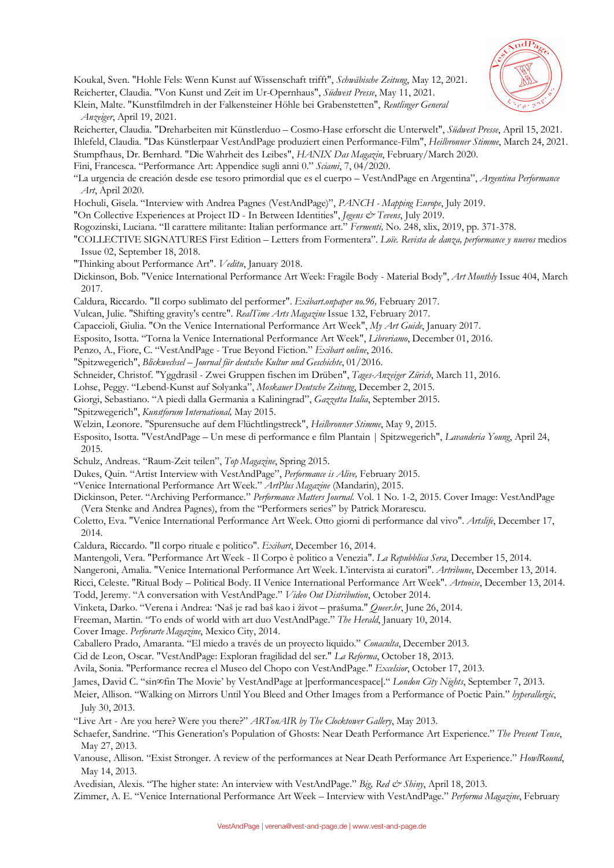

Koukal, Sven. "Hohle Fels: Wenn Kunst auf Wissenschaft trifft", *Schwäbische Zeitung*, May 12, 2021. Reicherter, Claudia. "Von Kunst und Zeit im Ur-Opernhaus", *Südwest Presse*, May 11, 2021.

Klein, Malte. "Kunstfilmdreh in der Falkensteiner Höhle bei Grabenstetten", *Reutlinger General Anzeiger*, April 19, 2021.

Reicherter, Claudia. "Dreharbeiten mit Künstlerduo – Cosmo-Hase erforscht die Unterwelt", *Südwest Presse*, April 15, 2021. Ihlefeld, Claudia. "Das Künstlerpaar VestAndPage produziert einen Performance-Film", *Heilbronner Stimme*, March 24, 2021.

Stumpfhaus, Dr. Bernhard. "Die Wahrheit des Leibes", *HANIX Das Magazin*, February/March 2020.

Fini, Francesca. "Performance Art: Appendice sugli anni 0." *Sciami*, 7, 04/2020.

"La urgencia de creación desde ese tesoro primordial que es el cuerpo – VestAndPage en Argentina", *Argentina Performance Art*, April 2020.

Hochuli, Gisela. "Interview with Andrea Pagnes (VestAndPage)", *PANCH - Mapping Europe*, July 2019.

"On Collective Experiences at Project ID - In Between Identities", *Jegens & Tevens*, July 2019.

Rogozinski, Luciana. "Il carattere militante: Italian performance art." *Fermenti,* No. 248, xlix, 2019, pp. 371-378.

- "COLLECTIVE SIGNATURES First Edition Letters from Formentera". *Loïe. Revista de danza, performance y nuevos* medios Issue 02, September 18, 2018.
- "Thinking about Performance Art". *Veditu*, January 2018.

Dickinson, Bob. "Venice International Performance Art Week: Fragile Body - Material Body", *Art Monthly* Issue 404, March 2017.

Caldura, Riccardo. "Il corpo sublimato del performer". *Exibart.onpaper no.96,* February 2017.

Vulcan, Julie. "Shifting gravity's centre". *RealTime Arts Magazine* Issue 132, February 2017.

Capaccioli, Giulia. "On the Venice International Performance Art Week", *My Art Guide*, January 2017.

Esposito, Isotta. "Torna la Venice International Performance Art Week", *Libreriamo*, December 01, 2016.

Penzo, A., Fiore, C. "VestAndPage - True Beyond Fiction." *Exibart online*, 2016.

"Spitzwegerich", *Blickwechsel – Journal für deutsche Kultur und Geschichte*, 01/2016.

Schneider, Christof. "Yggdrasil - Zwei Gruppen fischen im Drüben", *Tages-Anzeiger Zürich*, March 11, 2016.

Lohse, Peggy. "Lebend-Kunst auf Solyanka", *Moskauer Deutsche Zeitung*, December 2, 2015.

Giorgi, Sebastiano. "A piedi dalla Germania a Kaliningrad", *Gazzetta Italia*, September 2015.

"Spitzwegerich", *Kunstforum International,* May 2015.

Welzin, Leonore. "Spurensuche auf dem Flüchtlingstreck", *Heilbronner Stimme*, May 9, 2015.

Esposito, Isotta. "VestAndPage – Un mese di performance e film Plantain | Spitzwegerich", *Lavanderia Young*, April 24, 2015.

Schulz, Andreas. "Raum-Zeit teilen", *Top Magazine*, Spring 2015.

Dukes, Quin. "Artist Interview with VestAndPage", *Performance is Alive,* February 2015.

"Venice International Performance Art Week." *ArtPlus Magazine* (Mandarin), 2015.

Dickinson, Peter. "Archiving Performance." *Performance Matters Journal.* Vol. 1 No. 1-2, 2015. Cover Image: VestAndPage (Vera Stenke and Andrea Pagnes), from the "Performers series" by Patrick Morarescu.

Coletto, Eva. "Venice International Performance Art Week. Otto giorni di performance dal vivo". *Artslife*, December 17, 2014.

Caldura, Riccardo. "Il corpo rituale e politico". *Exibart*, December 16, 2014.

Mantengoli, Vera. "Performance Art Week - Il Corpo è politico a Venezia". *La Repubblica Sera*, December 15, 2014.

Nangeroni, Amalia. "Venice International Performance Art Week. L'intervista ai curatori". *Artribune*, December 13, 2014.

Ricci, Celeste. "Ritual Body – Political Body. II Venice International Performance Art Week". *Artnoise*, December 13, 2014. Todd, Jeremy. "A conversation with VestAndPage." *Video Out Distribution*, October 2014.

Vinketa, Darko. "Verena i Andrea: 'Naš je rad baš kao i život – prašuma." *Queer.hr*, June 26, 2014.

Freeman, Martin. "To ends of world with art duo VestAndPage." *The Herald*, January 10, 2014.

Cover Image. *Perforarte Magazine*, Mexico City, 2014.

Caballero Prado, Amaranta. "El miedo a través de un proyecto liquido." *Conaculta*, December 2013.

Cid de Leon, Oscar. "VestAndPage: Exploran fragilidad del ser." *La Reforma*, October 18, 2013.

Avila, Sonia. "Performance recrea el Museo del Chopo con VestAndPage." *Excelsior*, October 17, 2013.

James, David C. "sin∞fin The Movie' by VestAndPage at ]performancespace[." *London City Nights*, September 7, 2013.

# Meier, Allison. "Walking on Mirrors Until You Bleed and Other Images from a Performance of Poetic Pain." *hyperallergic*, July 30, 2013.

"Live Art - Are you here? Were you there?" *ARTonAIR by The Clocktower Gallery*, May 2013.

Schaefer, Sandrine. "This Generation's Population of Ghosts: Near Death Performance Art Experience." *The Present Tense*, May 27, 2013.

Vanouse, Allison. "Exist Stronger. A review of the performances at Near Death Performance Art Experience." *HowlRound*, May 14, 2013.

Avedisian, Alexis. "The higher state: An interview with VestAndPage." *Big, Red & Shiny*, April 18, 2013.

Zimmer, A. E. "Venice International Performance Art Week – Interview with VestAndPage." *Performa Magazine*, February